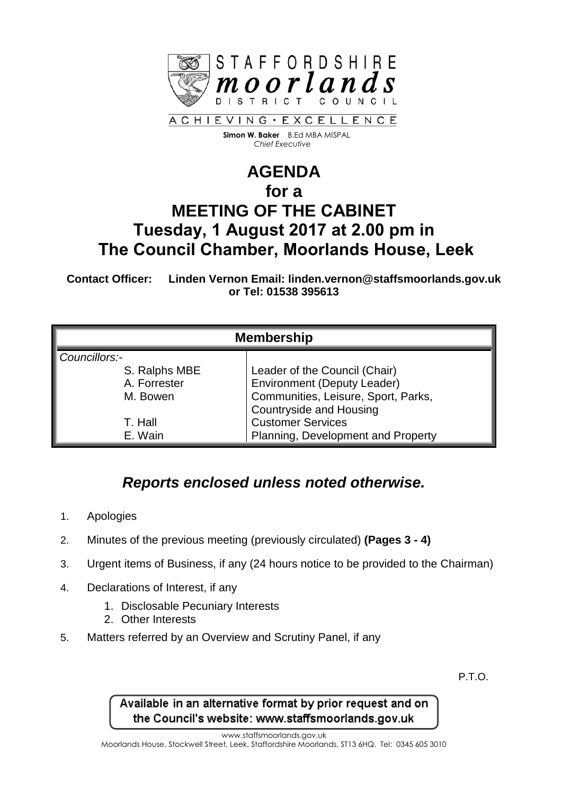

 **Simon W. Baker** B.Ed MBA MISPAL  *Chief Executive*

## **AGENDA for a MEETING OF THE CABINET Tuesday, 1 August 2017 at 2.00 pm in The Council Chamber, Moorlands House, Leek**

**Contact Officer: Linden Vernon Email: linden.vernon@staffsmoorlands.gov.uk or Tel: 01538 395613**

| <b>Membership</b> |                                     |
|-------------------|-------------------------------------|
| Councillors:-     |                                     |
| S. Ralphs MBE     | Leader of the Council (Chair)       |
| A. Forrester      | <b>Environment (Deputy Leader)</b>  |
| M. Bowen          | Communities, Leisure, Sport, Parks, |
|                   | <b>Countryside and Housing</b>      |
| T. Hall           | <b>Customer Services</b>            |
| E. Wain           | Planning, Development and Property  |

## *Reports enclosed unless noted otherwise.*

- 1. Apologies
- 2. Minutes of the previous meeting (previously circulated) **(Pages 3 - 4)**
- 3. Urgent items of Business, if any (24 hours notice to be provided to the Chairman)
- 4. Declarations of Interest, if any
	- 1. Disclosable Pecuniary Interests
	- 2. Other Interests
- 5. Matters referred by an Overview and Scrutiny Panel, if any

P.T.O.

Available in an alternative format by prior request and on the Council's website: www.staffsmoorlands.gov.uk

www.staffsmoorlands.gov.uk

Moorlands House, Stockwell Street, Leek, Staffordshire Moorlands, ST13 6HQ. Tel: 0345 605 3010